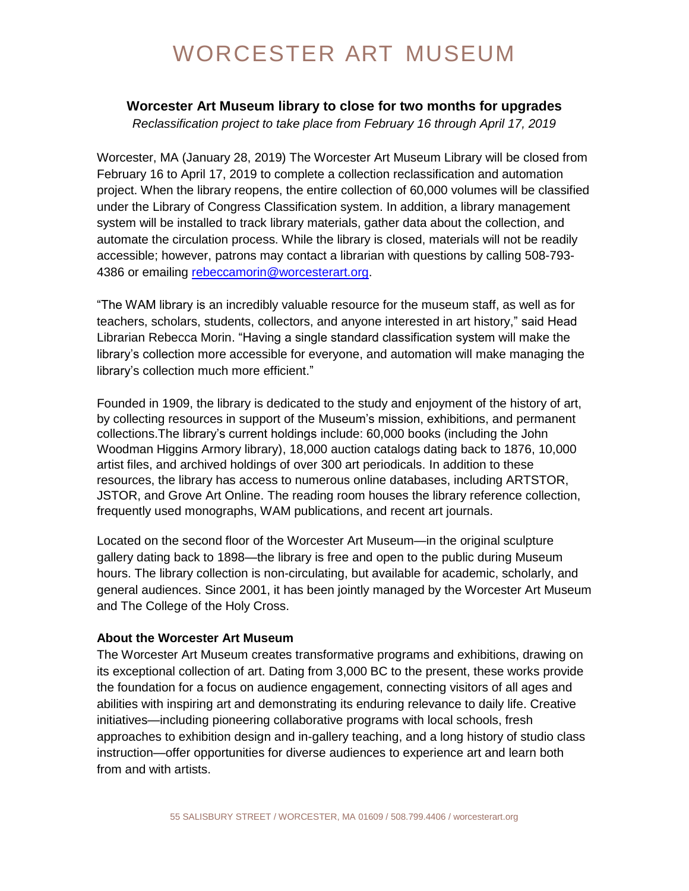## WORCESTER ART MUSEUM

## **Worcester Art Museum library to close for two months for upgrades**

*Reclassification project to take place from February 16 through April 17, 2019*

Worcester, MA (January 28, 2019) The Worcester Art Museum Library will be closed from February 16 to April 17, 2019 to complete a collection reclassification and automation project. When the library reopens, the entire collection of 60,000 volumes will be classified under the Library of Congress Classification system. In addition, a library management system will be installed to track library materials, gather data about the collection, and automate the circulation process. While the library is closed, materials will not be readily accessible; however, patrons may contact a librarian with questions by calling 508-793- 4386 or emailing [rebeccamorin@worcesterart.org.](mailto:rebeccamorin@worcesterart.org)

"The WAM library is an incredibly valuable resource for the museum staff, as well as for teachers, scholars, students, collectors, and anyone interested in art history," said Head Librarian Rebecca Morin. "Having a single standard classification system will make the library's collection more accessible for everyone, and automation will make managing the library's collection much more efficient."

Founded in 1909, the library is dedicated to the study and enjoyment of the history of art, by collecting resources in support of the Museum's mission, exhibitions, and permanent collections.The library's current holdings include: 60,000 books (including the John Woodman Higgins Armory library), 18,000 auction catalogs dating back to 1876, 10,000 artist files, and archived holdings of over 300 art periodicals. In addition to these resources, the library has access to numerous online databases, including ARTSTOR, JSTOR, and Grove Art Online. The reading room houses the library reference collection, frequently used monographs, WAM publications, and recent art journals.

Located on the second floor of the Worcester Art Museum—in the original sculpture gallery dating back to 1898—the library is free and open to the public during Museum hours. The library collection is non-circulating, but available for academic, scholarly, and general audiences. Since 2001, it has been jointly managed by the Worcester Art Museum and The College of the Holy Cross.

## **About the Worcester Art Museum**

The Worcester Art Museum creates transformative programs and exhibitions, drawing on its exceptional collection of art. Dating from 3,000 BC to the present, these works provide the foundation for a focus on audience engagement, connecting visitors of all ages and abilities with inspiring art and demonstrating its enduring relevance to daily life. Creative initiatives—including pioneering collaborative programs with local schools, fresh approaches to exhibition design and in-gallery teaching, and a long history of studio class instruction—offer opportunities for diverse audiences to experience art and learn both from and with artists.